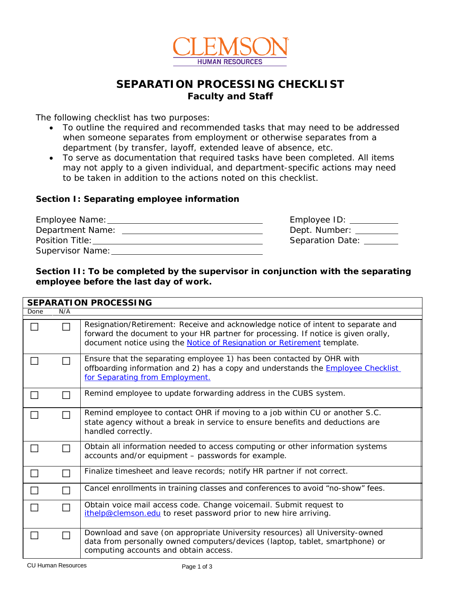

## **SEPARATION PROCESSING CHECKLIST Faculty and Staff**

The following checklist has two purposes:

- To outline the required and recommended tasks that may need to be addressed when someone separates from employment or otherwise separates from a department (by transfer, layoff, extended leave of absence, etc.
- To serve as documentation that required tasks have been completed. All items may not apply to a given individual, and department-specific actions may need to be taken in addition to the actions noted on this checklist.

### **Section I: Separating employee information**

| Employee Name:   | Employee ID:     |
|------------------|------------------|
| Department Name: | Dept. Number:    |
| Position Title:  | Separation Date: |
| Supervisor Name: |                  |

## **Section II: To be completed by the supervisor in conjunction with the separating employee before the last day of work.**

| <b>SEPARATION PROCESSING</b> |     |                                                                                                                                                                                                                                                   |  |  |
|------------------------------|-----|---------------------------------------------------------------------------------------------------------------------------------------------------------------------------------------------------------------------------------------------------|--|--|
| Done                         | N/A |                                                                                                                                                                                                                                                   |  |  |
| $\Box$                       |     | Resignation/Retirement: Receive and acknowledge notice of intent to separate and<br>forward the document to your HR partner for processing. If notice is given orally,<br>document notice using the Notice of Resignation or Retirement template. |  |  |
|                              |     | Ensure that the separating employee 1) has been contacted by OHR with<br>offboarding information and 2) has a copy and understands the <b>Employee Checklist</b><br>for Separating from Employment.                                               |  |  |
|                              |     | Remind employee to update forwarding address in the CUBS system.                                                                                                                                                                                  |  |  |
|                              |     | Remind employee to contact OHR if moving to a job within CU or another S.C.<br>state agency without a break in service to ensure benefits and deductions are<br>handled correctly.                                                                |  |  |
|                              |     | Obtain all information needed to access computing or other information systems<br>accounts and/or equipment - passwords for example.                                                                                                              |  |  |
|                              |     | Finalize timesheet and leave records; notify HR partner if not correct.                                                                                                                                                                           |  |  |
|                              |     | Cancel enrollments in training classes and conferences to avoid "no-show" fees.                                                                                                                                                                   |  |  |
| П                            |     | Obtain voice mail access code. Change voicemail. Submit request to<br>ithelp@clemson.edu to reset password prior to new hire arriving.                                                                                                            |  |  |
| $\Box$                       |     | Download and save (on appropriate University resources) all University-owned<br>data from personally owned computers/devices (laptop, tablet, smartphone) or<br>computing accounts and obtain access.                                             |  |  |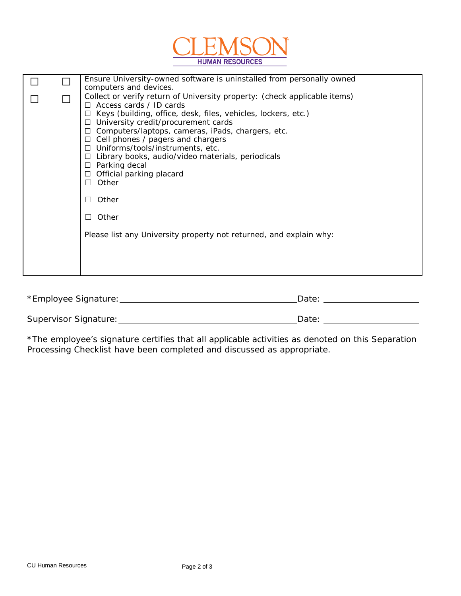

| Ensure University-owned software is uninstalled from personally owned<br>computers and devices.                                                                                                                                                                                                                                                                                                                                                                                                                                                                                                                   |
|-------------------------------------------------------------------------------------------------------------------------------------------------------------------------------------------------------------------------------------------------------------------------------------------------------------------------------------------------------------------------------------------------------------------------------------------------------------------------------------------------------------------------------------------------------------------------------------------------------------------|
| Collect or verify return of University property: (check applicable items)<br>$\Box$ Access cards / ID cards<br>$\Box$ Keys (building, office, desk, files, vehicles, lockers, etc.)<br>$\Box$ University credit/procurement cards<br>$\Box$ Computers/laptops, cameras, iPads, chargers, etc.<br>$\Box$ Cell phones / pagers and chargers<br>$\Box$ Uniforms/tools/instruments, etc.<br>$\Box$ Library books, audio/video materials, periodicals<br>$\Box$ Parking decal<br>$\Box$ Official parking placard<br>Other<br>П<br>Other<br>Other<br>Please list any University property not returned, and explain why: |

| *Employee Signature:  | Date |
|-----------------------|------|
|                       |      |
| Supervisor Signature: | Date |

\*The employee's signature certifies that all applicable activities as denoted on this Separation Processing Checklist have been completed and discussed as appropriate.